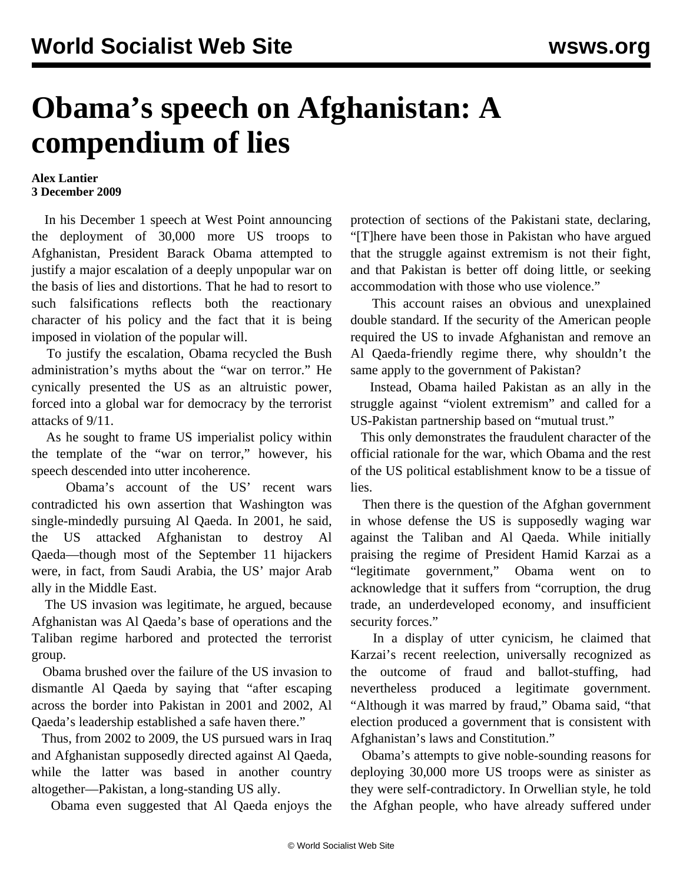## **Obama's speech on Afghanistan: A compendium of lies**

## **Alex Lantier 3 December 2009**

 In his December 1 speech at West Point announcing the deployment of 30,000 more US troops to Afghanistan, President Barack Obama attempted to justify a major escalation of a deeply unpopular war on the basis of lies and distortions. That he had to resort to such falsifications reflects both the reactionary character of his policy and the fact that it is being imposed in violation of the popular will.

 To justify the escalation, Obama recycled the Bush administration's myths about the "war on terror." He cynically presented the US as an altruistic power, forced into a global war for democracy by the terrorist attacks of 9/11.

 As he sought to frame US imperialist policy within the template of the "war on terror," however, his speech descended into utter incoherence.

 Obama's account of the US' recent wars contradicted his own assertion that Washington was single-mindedly pursuing Al Qaeda. In 2001, he said, the US attacked Afghanistan to destroy Al Qaeda—though most of the September 11 hijackers were, in fact, from Saudi Arabia, the US' major Arab ally in the Middle East.

 The US invasion was legitimate, he argued, because Afghanistan was Al Qaeda's base of operations and the Taliban regime harbored and protected the terrorist group.

 Obama brushed over the failure of the US invasion to dismantle Al Qaeda by saying that "after escaping across the border into Pakistan in 2001 and 2002, Al Qaeda's leadership established a safe haven there."

 Thus, from 2002 to 2009, the US pursued wars in Iraq and Afghanistan supposedly directed against Al Qaeda, while the latter was based in another country altogether—Pakistan, a long-standing US ally.

Obama even suggested that Al Qaeda enjoys the

protection of sections of the Pakistani state, declaring, "[T]here have been those in Pakistan who have argued that the struggle against extremism is not their fight, and that Pakistan is better off doing little, or seeking accommodation with those who use violence."

 This account raises an obvious and unexplained double standard. If the security of the American people required the US to invade Afghanistan and remove an Al Qaeda-friendly regime there, why shouldn't the same apply to the government of Pakistan?

 Instead, Obama hailed Pakistan as an ally in the struggle against "violent extremism" and called for a US-Pakistan partnership based on "mutual trust."

 This only demonstrates the fraudulent character of the official rationale for the war, which Obama and the rest of the US political establishment know to be a tissue of lies.

 Then there is the question of the Afghan government in whose defense the US is supposedly waging war against the Taliban and Al Qaeda. While initially praising the regime of President Hamid Karzai as a "legitimate government," Obama went on to acknowledge that it suffers from "corruption, the drug trade, an underdeveloped economy, and insufficient security forces."

 In a display of utter cynicism, he claimed that Karzai's recent reelection, universally recognized as the outcome of fraud and ballot-stuffing, had nevertheless produced a legitimate government. "Although it was marred by fraud," Obama said, "that election produced a government that is consistent with Afghanistan's laws and Constitution."

 Obama's attempts to give noble-sounding reasons for deploying 30,000 more US troops were as sinister as they were self-contradictory. In Orwellian style, he told the Afghan people, who have already suffered under